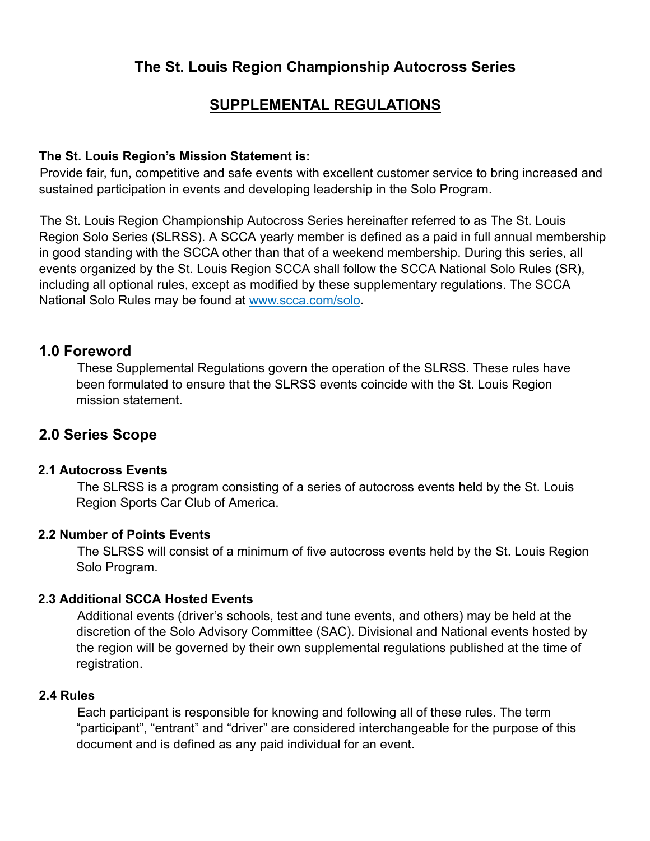# **The St. Louis Region Championship Autocross Series**

# **SUPPLEMENTAL REGULATIONS**

## **The St. Louis Region's Mission Statement is:**

Provide fair, fun, competitive and safe events with excellent customer service to bring increased and sustained participation in events and developing leadership in the Solo Program.

The St. Louis Region Championship Autocross Series hereinafter referred to as The St. Louis Region Solo Series (SLRSS). A SCCA yearly member is defined as a paid in full annual membership in good standing with the SCCA other than that of a weekend membership. During this series, all events organized by the St. Louis Region SCCA shall follow the SCCA National Solo Rules (SR), including all optional rules, except as modified by these supplementary regulations. The SCCA National Solo Rules may be found at www.scca.com/solo**.**

# **1.0 Foreword**

These Supplemental Regulations govern the operation of the SLRSS. These rules have been formulated to ensure that the SLRSS events coincide with the St. Louis Region mission statement.

# **2.0 Series Scope**

#### **2.1 Autocross Events**

The SLRSS is a program consisting of a series of autocross events held by the St. Louis Region Sports Car Club of America.

#### **2.2 Number of Points Events**

The SLRSS will consist of a minimum of five autocross events held by the St. Louis Region Solo Program.

#### **2.3 Additional SCCA Hosted Events**

Additional events (driver's schools, test and tune events, and others) may be held at the discretion of the Solo Advisory Committee (SAC). Divisional and National events hosted by the region will be governed by their own supplemental regulations published at the time of registration.

#### **2.4 Rules**

Each participant is responsible for knowing and following all of these rules. The term "participant", "entrant" and "driver" are considered interchangeable for the purpose of this document and is defined as any paid individual for an event.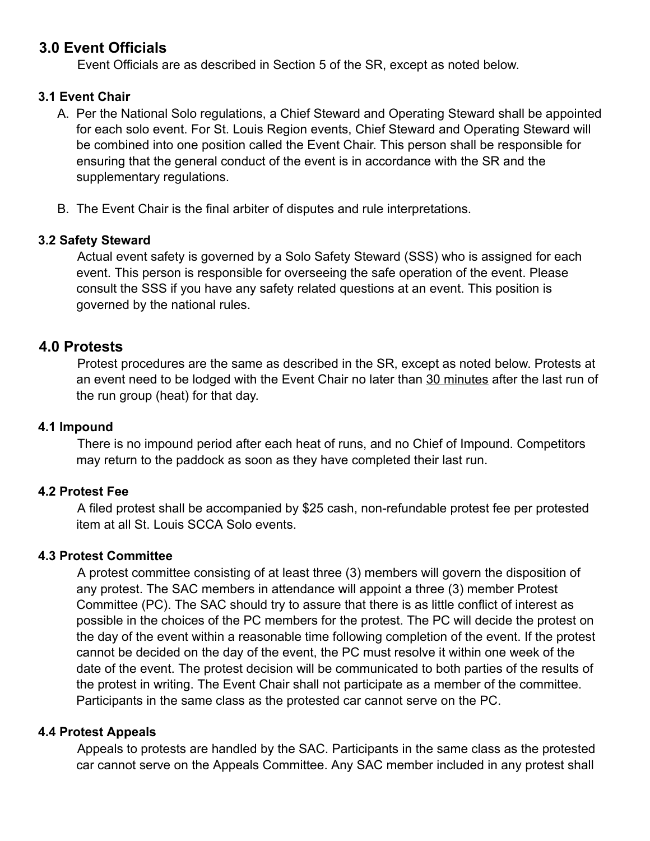# **3.0 Event Officials**

Event Officials are as described in Section 5 of the SR, except as noted below.

# **3.1 Event Chair**

- A. Per the National Solo regulations, a Chief Steward and Operating Steward shall be appointed for each solo event. For St. Louis Region events, Chief Steward and Operating Steward will be combined into one position called the Event Chair. This person shall be responsible for ensuring that the general conduct of the event is in accordance with the SR and the supplementary regulations.
- B. The Event Chair is the final arbiter of disputes and rule interpretations.

# **3.2 Safety Steward**

Actual event safety is governed by a Solo Safety Steward (SSS) who is assigned for each event. This person is responsible for overseeing the safe operation of the event. Please consult the SSS if you have any safety related questions at an event. This position is governed by the national rules.

# **4.0 Protests**

Protest procedures are the same as described in the SR, except as noted below. Protests at an event need to be lodged with the Event Chair no later than 30 minutes after the last run of the run group (heat) for that day.

## **4.1 Impound**

There is no impound period after each heat of runs, and no Chief of Impound. Competitors may return to the paddock as soon as they have completed their last run.

# **4.2 Protest Fee**

A filed protest shall be accompanied by \$25 cash, non-refundable protest fee per protested item at all St. Louis SCCA Solo events.

# **4.3 Protest Committee**

A protest committee consisting of at least three (3) members will govern the disposition of any protest. The SAC members in attendance will appoint a three (3) member Protest Committee (PC). The SAC should try to assure that there is as little conflict of interest as possible in the choices of the PC members for the protest. The PC will decide the protest on the day of the event within a reasonable time following completion of the event. If the protest cannot be decided on the day of the event, the PC must resolve it within one week of the date of the event. The protest decision will be communicated to both parties of the results of the protest in writing. The Event Chair shall not participate as a member of the committee. Participants in the same class as the protested car cannot serve on the PC.

# **4.4 Protest Appeals**

Appeals to protests are handled by the SAC. Participants in the same class as the protested car cannot serve on the Appeals Committee. Any SAC member included in any protest shall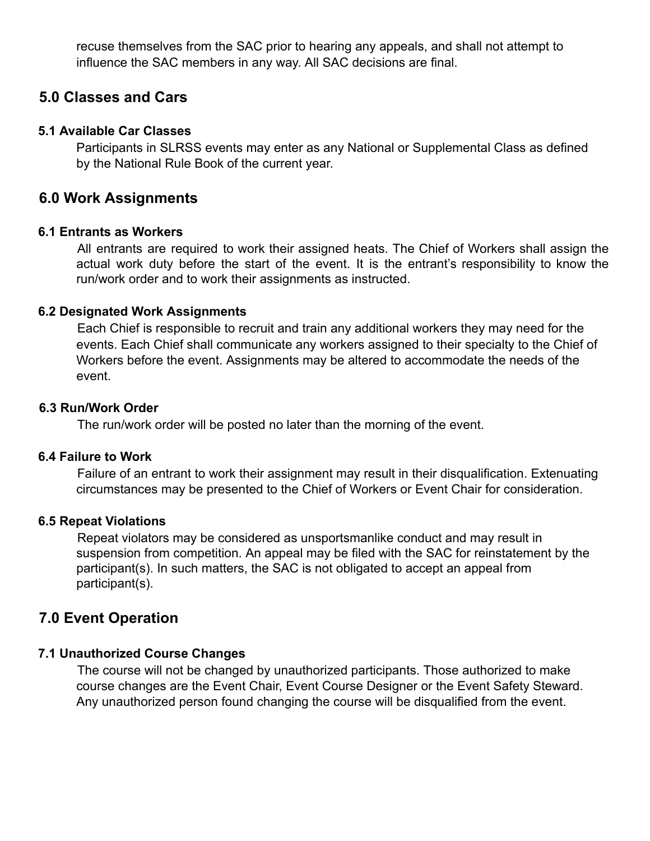recuse themselves from the SAC prior to hearing any appeals, and shall not attempt to influence the SAC members in any way. All SAC decisions are final.

# **5.0 Classes and Cars**

## **5.1 Available Car Classes**

Participants in SLRSS events may enter as any National or Supplemental Class as defined by the National Rule Book of the current year.

# **6.0 Work Assignments**

#### **6.1 Entrants as Workers**

All entrants are required to work their assigned heats. The Chief of Workers shall assign the actual work duty before the start of the event. It is the entrant's responsibility to know the run/work order and to work their assignments as instructed.

## **6.2 Designated Work Assignments**

Each Chief is responsible to recruit and train any additional workers they may need for the events. Each Chief shall communicate any workers assigned to their specialty to the Chief of Workers before the event. Assignments may be altered to accommodate the needs of the event.

#### **6.3 Run/Work Order**

The run/work order will be posted no later than the morning of the event.

#### **6.4 Failure to Work**

Failure of an entrant to work their assignment may result in their disqualification. Extenuating circumstances may be presented to the Chief of Workers or Event Chair for consideration.

# **6.5 Repeat Violations**

Repeat violators may be considered as unsportsmanlike conduct and may result in suspension from competition. An appeal may be filed with the SAC for reinstatement by the participant(s). In such matters, the SAC is not obligated to accept an appeal from participant(s).

# **7.0 Event Operation**

# **7.1 Unauthorized Course Changes**

The course will not be changed by unauthorized participants. Those authorized to make course changes are the Event Chair, Event Course Designer or the Event Safety Steward. Any unauthorized person found changing the course will be disqualified from the event.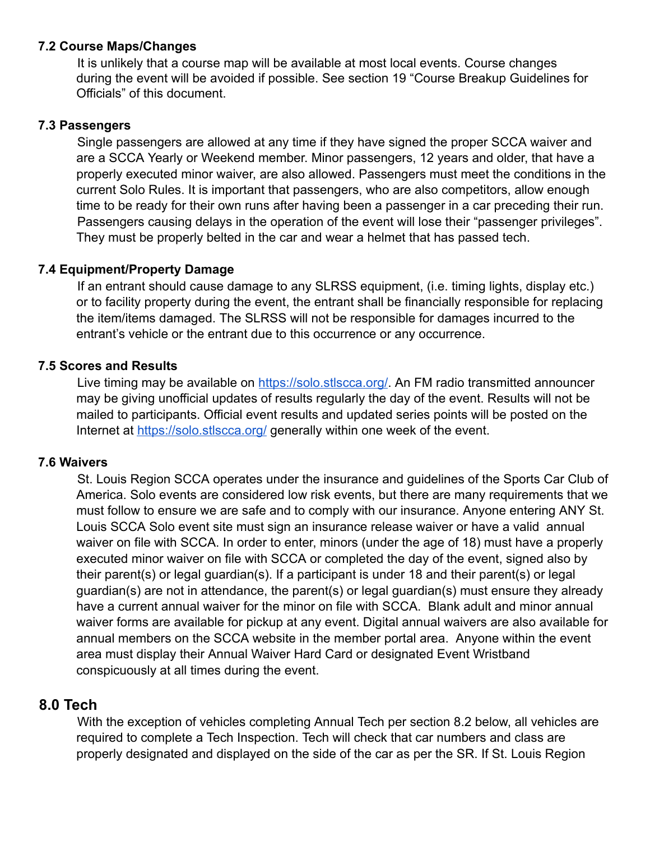## **7.2 Course Maps/Changes**

It is unlikely that a course map will be available at most local events. Course changes during the event will be avoided if possible. See section 19 "Course Breakup Guidelines for Officials" of this document.

#### **7.3 Passengers**

Single passengers are allowed at any time if they have signed the proper SCCA waiver and are a SCCA Yearly or Weekend member. Minor passengers, 12 years and older, that have a properly executed minor waiver, are also allowed. Passengers must meet the conditions in the current Solo Rules. It is important that passengers, who are also competitors, allow enough time to be ready for their own runs after having been a passenger in a car preceding their run. Passengers causing delays in the operation of the event will lose their "passenger privileges". They must be properly belted in the car and wear a helmet that has passed tech.

## **7.4 Equipment/Property Damage**

If an entrant should cause damage to any SLRSS equipment, (i.e. timing lights, display etc.) or to facility property during the event, the entrant shall be financially responsible for replacing the item/items damaged. The SLRSS will not be responsible for damages incurred to the entrant's vehicle or the entrant due to this occurrence or any occurrence.

## **7.5 Scores and Results**

Live timing may be available on <https://solo.stlscca.org/>. An FM radio transmitted announcer may be giving unofficial updates of results regularly the day of the event. Results will not be mailed to participants. Official event results and updated series points will be posted on the Internet at <https://solo.stlscca.org/> generally within one week of the event.

#### **7.6 Waivers**

St. Louis Region SCCA operates under the insurance and guidelines of the Sports Car Club of America. Solo events are considered low risk events, but there are many requirements that we must follow to ensure we are safe and to comply with our insurance. Anyone entering ANY St. Louis SCCA Solo event site must sign an insurance release waiver or have a valid annual waiver on file with SCCA. In order to enter, minors (under the age of 18) must have a properly executed minor waiver on file with SCCA or completed the day of the event, signed also by their parent(s) or legal guardian(s). If a participant is under 18 and their parent(s) or legal guardian(s) are not in attendance, the parent(s) or legal guardian(s) must ensure they already have a current annual waiver for the minor on file with SCCA. Blank adult and minor annual waiver forms are available for pickup at any event. Digital annual waivers are also available for annual members on the SCCA website in the member portal area. Anyone within the event area must display their Annual Waiver Hard Card or designated Event Wristband conspicuously at all times during the event.

# **8.0 Tech**

With the exception of vehicles completing Annual Tech per section 8.2 below, all vehicles are required to complete a Tech Inspection. Tech will check that car numbers and class are properly designated and displayed on the side of the car as per the SR. If St. Louis Region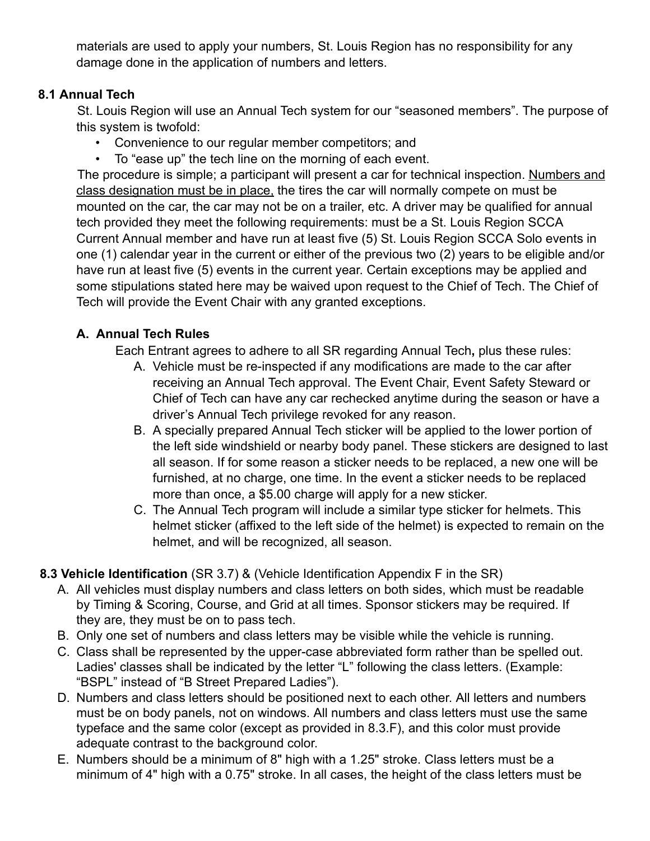materials are used to apply your numbers, St. Louis Region has no responsibility for any damage done in the application of numbers and letters.

# **8.1 Annual Tech**

St. Louis Region will use an Annual Tech system for our "seasoned members". The purpose of this system is twofold:

- Convenience to our regular member competitors; and
- To "ease up" the tech line on the morning of each event.

The procedure is simple; a participant will present a car for technical inspection. Numbers and class designation must be in place, the tires the car will normally compete on must be mounted on the car, the car may not be on a trailer, etc. A driver may be qualified for annual tech provided they meet the following requirements: must be a St. Louis Region SCCA Current Annual member and have run at least five (5) St. Louis Region SCCA Solo events in one (1) calendar year in the current or either of the previous two (2) years to be eligible and/or have run at least five (5) events in the current year. Certain exceptions may be applied and some stipulations stated here may be waived upon request to the Chief of Tech. The Chief of Tech will provide the Event Chair with any granted exceptions.

# **A. Annual Tech Rules**

Each Entrant agrees to adhere to all SR regarding Annual Tech**,** plus these rules:

- A. Vehicle must be re-inspected if any modifications are made to the car after receiving an Annual Tech approval. The Event Chair, Event Safety Steward or Chief of Tech can have any car rechecked anytime during the season or have a driver's Annual Tech privilege revoked for any reason.
- B. A specially prepared Annual Tech sticker will be applied to the lower portion of the left side windshield or nearby body panel. These stickers are designed to last all season. If for some reason a sticker needs to be replaced, a new one will be furnished, at no charge, one time. In the event a sticker needs to be replaced more than once, a \$5.00 charge will apply for a new sticker.
- C. The Annual Tech program will include a similar type sticker for helmets. This helmet sticker (affixed to the left side of the helmet) is expected to remain on the helmet, and will be recognized, all season.

# **8.3 Vehicle Identification** (SR 3.7) & (Vehicle Identification Appendix F in the SR)

- A. All vehicles must display numbers and class letters on both sides, which must be readable by Timing & Scoring, Course, and Grid at all times. Sponsor stickers may be required. If they are, they must be on to pass tech.
- B. Only one set of numbers and class letters may be visible while the vehicle is running.
- C. Class shall be represented by the upper-case abbreviated form rather than be spelled out. Ladies' classes shall be indicated by the letter "L" following the class letters. (Example: "BSPL" instead of "B Street Prepared Ladies").
- D. Numbers and class letters should be positioned next to each other. All letters and numbers must be on body panels, not on windows. All numbers and class letters must use the same typeface and the same color (except as provided in 8.3.F), and this color must provide adequate contrast to the background color.
- E. Numbers should be a minimum of 8" high with a 1.25" stroke. Class letters must be a minimum of 4" high with a 0.75" stroke. In all cases, the height of the class letters must be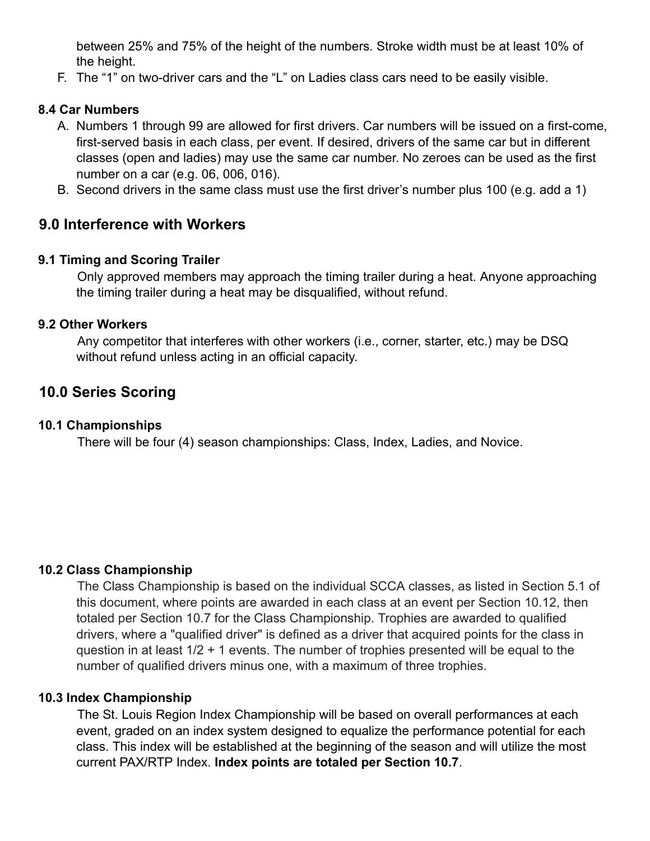between 25% and 75% of the height of the numbers. Stroke width must be at least 10% of the height.

F. The "1" on two-driver cars and the "L" on Ladies class cars need to be easily visible.

# **8.4 Car Numbers**

- A. Numbers 1 through 99 are allowed for first drivers. Car numbers will be issued on a first-come, first-served basis in each class, per event. If desired, drivers of the same car but in different classes (open and ladies) may use the same car number. No zeroes can be used as the first number on a car (e.g. 06, 006, 016).
- B. Second drivers in the same class must use the first driver's number plus 100 (e.g. add a 1)

# **9.0 Interference with Workers**

# **9.1 Timing and Scoring Trailer**

Only approved members may approach the timing trailer during a heat. Anyone approaching the timing trailer during a heat may be disqualified, without refund.

## **9.2 Other Workers**

Any competitor that interferes with other workers (i.e., corner, starter, etc.) may be DSQ without refund unless acting in an official capacity.

# **10.0 Series Scoring**

# **10.1 Championships**

There will be four (4) season championships: Class, Index, Ladies, and Novice.

# **10.2 Class Championship**

The Class Championship is based on the individual SCCA classes, as listed in Section 5.1 of this document, where points are awarded in each class at an event per Section 10.12, then totaled per Section 10.7 for the Class Championship. Trophies are awarded to qualified drivers, where a "qualified driver" is defined as a driver that acquired points for the class in question in at least 1/2 + 1 events. The number of trophies presented will be equal to the number of qualified drivers minus one, with a maximum of three trophies.

#### **10.3 Index Championship**

The St. Louis Region Index Championship will be based on overall performances at each event, graded on an index system designed to equalize the performance potential for each class. This index will be established at the beginning of the season and will utilize the most current PAX/RTP Index. **Index points are totaled per Section 10.7**.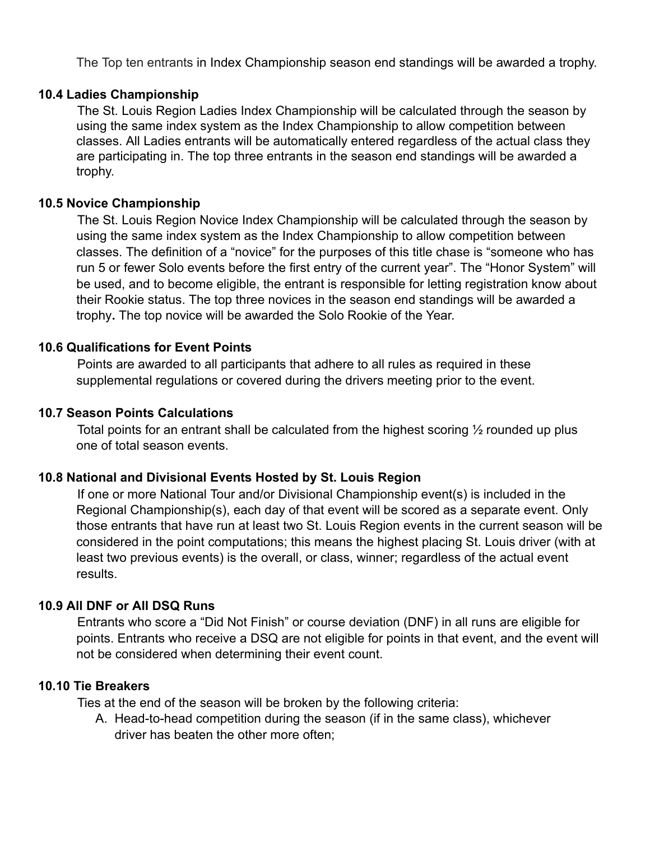The Top ten entrants in Index Championship season end standings will be awarded a trophy.

#### **10.4 Ladies Championship**

The St. Louis Region Ladies Index Championship will be calculated through the season by using the same index system as the Index Championship to allow competition between classes. All Ladies entrants will be automatically entered regardless of the actual class they are participating in. The top three entrants in the season end standings will be awarded a trophy.

#### **10.5 Novice Championship**

The St. Louis Region Novice Index Championship will be calculated through the season by using the same index system as the Index Championship to allow competition between classes. The definition of a "novice" for the purposes of this title chase is "someone who has run 5 or fewer Solo events before the first entry of the current year". The "Honor System" will be used, and to become eligible, the entrant is responsible for letting registration know about their Rookie status. The top three novices in the season end standings will be awarded a trophy**.** The top novice will be awarded the Solo Rookie of the Year.

#### **10.6 Qualifications for Event Points**

Points are awarded to all participants that adhere to all rules as required in these supplemental regulations or covered during the drivers meeting prior to the event.

#### **10.7 Season Points Calculations**

Total points for an entrant shall be calculated from the highest scoring  $\frac{1}{2}$  rounded up plus one of total season events.

#### **10.8 National and Divisional Events Hosted by St. Louis Region**

If one or more National Tour and/or Divisional Championship event(s) is included in the Regional Championship(s), each day of that event will be scored as a separate event. Only those entrants that have run at least two St. Louis Region events in the current season will be considered in the point computations; this means the highest placing St. Louis driver (with at least two previous events) is the overall, or class, winner; regardless of the actual event results.

#### **10.9 All DNF or All DSQ Runs**

Entrants who score a "Did Not Finish" or course deviation (DNF) in all runs are eligible for points. Entrants who receive a DSQ are not eligible for points in that event, and the event will not be considered when determining their event count.

#### **10.10 Tie Breakers**

Ties at the end of the season will be broken by the following criteria:

A. Head-to-head competition during the season (if in the same class), whichever driver has beaten the other more often;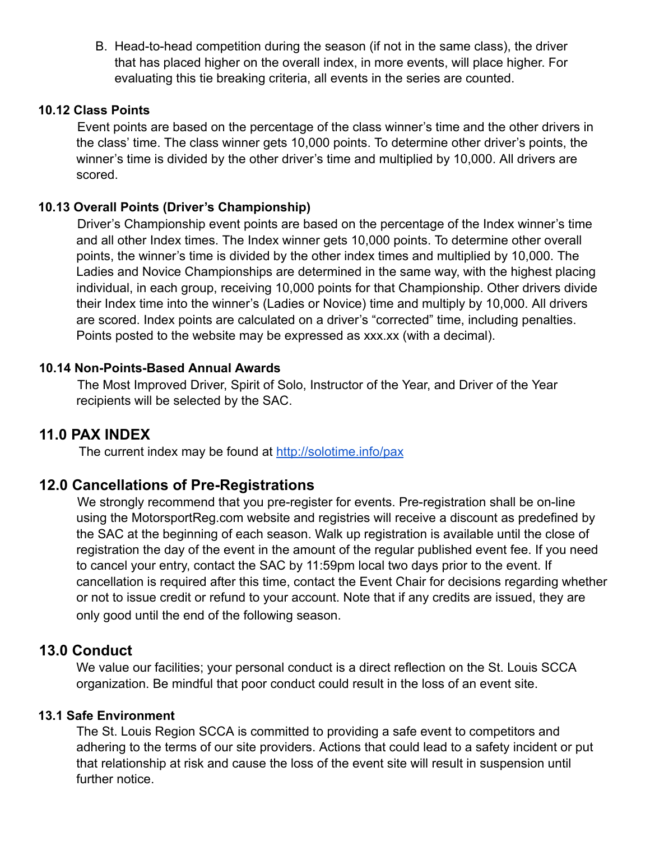B. Head-to-head competition during the season (if not in the same class), the driver that has placed higher on the overall index, in more events, will place higher. For evaluating this tie breaking criteria, all events in the series are counted.

## **10.12 Class Points**

Event points are based on the percentage of the class winner's time and the other drivers in the class' time. The class winner gets 10,000 points. To determine other driver's points, the winner's time is divided by the other driver's time and multiplied by 10,000. All drivers are scored.

## **10.13 Overall Points (Driver's Championship)**

Driver's Championship event points are based on the percentage of the Index winner's time and all other Index times. The Index winner gets 10,000 points. To determine other overall points, the winner's time is divided by the other index times and multiplied by 10,000. The Ladies and Novice Championships are determined in the same way, with the highest placing individual, in each group, receiving 10,000 points for that Championship. Other drivers divide their Index time into the winner's (Ladies or Novice) time and multiply by 10,000. All drivers are scored. Index points are calculated on a driver's "corrected" time, including penalties. Points posted to the website may be expressed as xxx.xx (with a decimal).

## **10.14 Non-Points-Based Annual Awards**

The Most Improved Driver, Spirit of Solo, Instructor of the Year, and Driver of the Year recipients will be selected by the SAC.

# **11.0 PAX INDEX**

The current index may be found at <http://solotime.info/pax>

# **12.0 Cancellations of Pre-Registrations**

We strongly recommend that you pre-register for events. Pre-registration shall be on-line using the MotorsportReg.com website and registries will receive a discount as predefined by the SAC at the beginning of each season. Walk up registration is available until the close of registration the day of the event in the amount of the regular published event fee. If you need to cancel your entry, contact the SA[C](https://solo.stlscca.org/) by 11:59pm local two days prior to the event. If cancellation is required after this time, contact the Event Chair for decisions regarding whether or not to issue credit or refund to your account. Note that if any credits are issued, they are only good until the end of the following season.

# **13.0 Conduct**

We value our facilities; your personal conduct is a direct reflection on the St. Louis SCCA organization. Be mindful that poor conduct could result in the loss of an event site.

# **13.1 Safe Environment**

The St. Louis Region SCCA is committed to providing a safe event to competitors and adhering to the terms of our site providers. Actions that could lead to a safety incident or put that relationship at risk and cause the loss of the event site will result in suspension until further notice.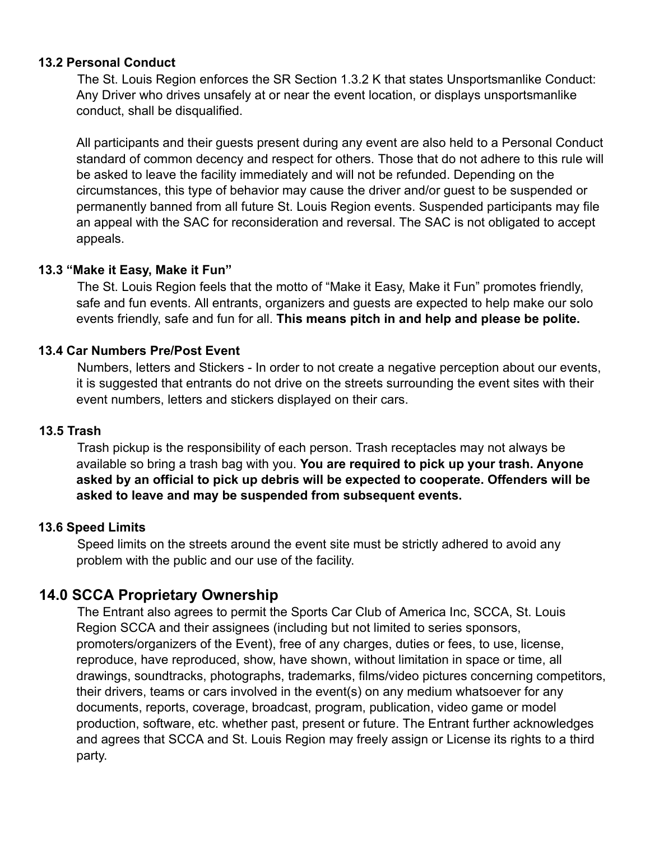#### **13.2 Personal Conduct**

The St. Louis Region enforces the SR Section 1.3.2 K that states Unsportsmanlike Conduct: Any Driver who drives unsafely at or near the event location, or displays unsportsmanlike conduct, shall be disqualified.

All participants and their guests present during any event are also held to a Personal Conduct standard of common decency and respect for others. Those that do not adhere to this rule will be asked to leave the facility immediately and will not be refunded. Depending on the circumstances, this type of behavior may cause the driver and/or guest to be suspended or permanently banned from all future St. Louis Region events. Suspended participants may file an appeal with the SAC for reconsideration and reversal. The SAC is not obligated to accept appeals.

## **13.3 "Make it Easy, Make it Fun"**

The St. Louis Region feels that the motto of "Make it Easy, Make it Fun" promotes friendly, safe and fun events. All entrants, organizers and guests are expected to help make our solo events friendly, safe and fun for all. **This means pitch in and help and please be polite.**

## **13.4 Car Numbers Pre/Post Event**

Numbers, letters and Stickers - In order to not create a negative perception about our events, it is suggested that entrants do not drive on the streets surrounding the event sites with their event numbers, letters and stickers displayed on their cars.

#### **13.5 Trash**

Trash pickup is the responsibility of each person. Trash receptacles may not always be available so bring a trash bag with you. **You are required to pick up your trash. Anyone asked by an official to pick up debris will be expected to cooperate. Offenders will be asked to leave and may be suspended from subsequent events.**

#### **13.6 Speed Limits**

Speed limits on the streets around the event site must be strictly adhered to avoid any problem with the public and our use of the facility.

# **14.0 SCCA Proprietary Ownership**

The Entrant also agrees to permit the Sports Car Club of America Inc, SCCA, St. Louis Region SCCA and their assignees (including but not limited to series sponsors, promoters/organizers of the Event), free of any charges, duties or fees, to use, license, reproduce, have reproduced, show, have shown, without limitation in space or time, all drawings, soundtracks, photographs, trademarks, films/video pictures concerning competitors, their drivers, teams or cars involved in the event(s) on any medium whatsoever for any documents, reports, coverage, broadcast, program, publication, video game or model production, software, etc. whether past, present or future. The Entrant further acknowledges and agrees that SCCA and St. Louis Region may freely assign or License its rights to a third party.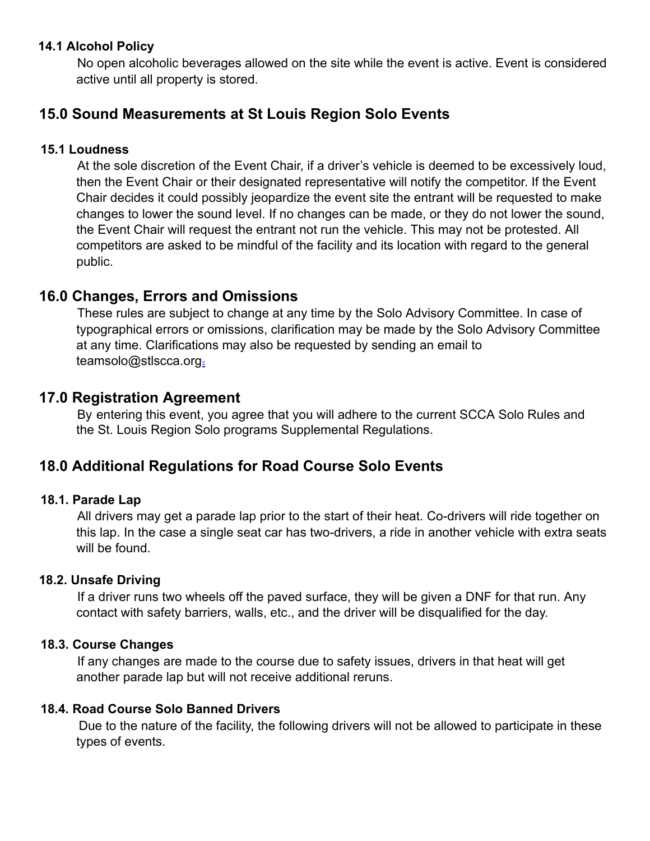## **14.1 Alcohol Policy**

No open alcoholic beverages allowed on the site while the event is active. Event is considered active until all property is stored.

# **15.0 Sound Measurements at St Louis Region Solo Events**

### **15.1 Loudness**

At the sole discretion of the Event Chair, if a driver's vehicle is deemed to be excessively loud, then the Event Chair or their designated representative will notify the competitor. If the Event Chair decides it could possibly jeopardize the event site the entrant will be requested to make changes to lower the sound level. If no changes can be made, or they do not lower the sound, the Event Chair will request the entrant not run the vehicle. This may not be protested. All competitors are asked to be mindful of the facility and its location with regard to the general public.

# **16.0 Changes, Errors and Omissions**

These rules are subject to change at any time by the Solo Advisory Committee. In case of typographical errors or omissions, clarification may be made by the Solo Advisory Committee at any time. Clarifications may also be requested by sending an email to teamsolo@stlscca.org-

# **17.0 Registration Agreement**

By entering this event, you agree that you will adhere to the current SCCA Solo Rules and the St. Louis Region Solo programs Supplemental Regulations.

# **18.0 Additional Regulations for Road Course Solo Events**

#### **18.1. Parade Lap**

All drivers may get a parade lap prior to the start of their heat. Co-drivers will ride together on this lap. In the case a single seat car has two-drivers, a ride in another vehicle with extra seats will be found.

### **18.2. Unsafe Driving**

If a driver runs two wheels off the paved surface, they will be given a DNF for that run. Any contact with safety barriers, walls, etc., and the driver will be disqualified for the day.

#### **18.3. Course Changes**

If any changes are made to the course due to safety issues, drivers in that heat will get another parade lap but will not receive additional reruns.

#### **18.4. Road Course Solo Banned Drivers**

Due to the nature of the facility, the following drivers will not be allowed to participate in these types of events.